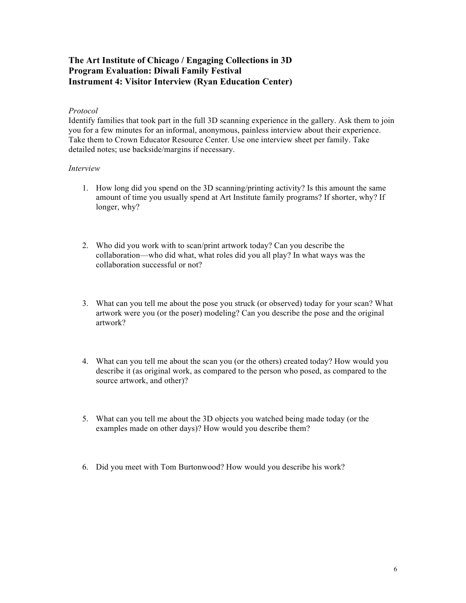## **The Art Institute of Chicago / Engaging Collections in 3D Program Evaluation: Diwali Family Festival Instrument 4: Visitor Interview (Ryan Education Center)**

## *Protocol*

Identify families that took part in the full 3D scanning experience in the gallery. Ask them to join you for a few minutes for an informal, anonymous, painless interview about their experience. Take them to Crown Educator Resource Center. Use one interview sheet per family. Take detailed notes; use backside/margins if necessary.

## *Interview*

- 1. How long did you spend on the 3D scanning/printing activity? Is this amount the same amount of time you usually spend at Art Institute family programs? If shorter, why? If longer, why?
- 2. Who did you work with to scan/print artwork today? Can you describe the collaboration—who did what, what roles did you all play? In what ways was the collaboration successful or not?
- 3. What can you tell me about the pose you struck (or observed) today for your scan? What artwork were you (or the poser) modeling? Can you describe the pose and the original artwork?
- 4. What can you tell me about the scan you (or the others) created today? How would you describe it (as original work, as compared to the person who posed, as compared to the source artwork, and other)?
- 5. What can you tell me about the 3D objects you watched being made today (or the examples made on other days)? How would you describe them?
- 6. Did you meet with Tom Burtonwood? How would you describe his work?